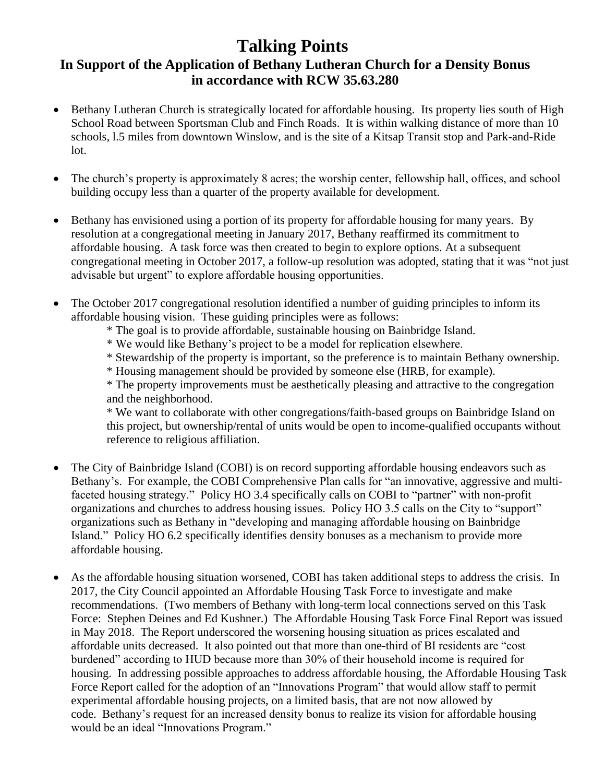## **Talking Points In Support of the Application of Bethany Lutheran Church for a Density Bonus in accordance with RCW 35.63.280**

- Bethany Lutheran Church is strategically located for affordable housing. Its property lies south of High School Road between Sportsman Club and Finch Roads. It is within walking distance of more than 10 schools, l.5 miles from downtown Winslow, and is the site of a Kitsap Transit stop and Park-and-Ride lot.
- The church's property is approximately 8 acres; the worship center, fellowship hall, offices, and school building occupy less than a quarter of the property available for development.
- Bethany has envisioned using a portion of its property for affordable housing for many years. By resolution at a congregational meeting in January 2017, Bethany reaffirmed its commitment to affordable housing. A task force was then created to begin to explore options. At a subsequent congregational meeting in October 2017, a follow-up resolution was adopted, stating that it was "not just advisable but urgent" to explore affordable housing opportunities.
- The October 2017 congregational resolution identified a number of guiding principles to inform its affordable housing vision. These guiding principles were as follows:
	- \* The goal is to provide affordable, sustainable housing on Bainbridge Island.
	- \* We would like Bethany's project to be a model for replication elsewhere.
	- \* Stewardship of the property is important, so the preference is to maintain Bethany ownership.
	- \* Housing management should be provided by someone else (HRB, for example).

\* The property improvements must be aesthetically pleasing and attractive to the congregation and the neighborhood.

\* We want to collaborate with other congregations/faith-based groups on Bainbridge Island on this project, but ownership/rental of units would be open to income-qualified occupants without reference to religious affiliation.

- The City of Bainbridge Island (COBI) is on record supporting affordable housing endeavors such as Bethany's. For example, the COBI Comprehensive Plan calls for "an innovative, aggressive and multifaceted housing strategy." Policy HO 3.4 specifically calls on COBI to "partner" with non-profit organizations and churches to address housing issues. Policy HO 3.5 calls on the City to "support" organizations such as Bethany in "developing and managing affordable housing on Bainbridge Island." Policy HO 6.2 specifically identifies density bonuses as a mechanism to provide more affordable housing.
- As the affordable housing situation worsened, COBI has taken additional steps to address the crisis. In 2017, the City Council appointed an Affordable Housing Task Force to investigate and make recommendations. (Two members of Bethany with long-term local connections served on this Task Force: Stephen Deines and Ed Kushner.) The Affordable Housing Task Force Final Report was issued in May 2018. The Report underscored the worsening housing situation as prices escalated and affordable units decreased. It also pointed out that more than one-third of BI residents are "cost burdened" according to HUD because more than 30% of their household income is required for housing. In addressing possible approaches to address affordable housing, the Affordable Housing Task Force Report called for the adoption of an "Innovations Program" that would allow staff to permit experimental affordable housing projects, on a limited basis, that are not now allowed by code. Bethany's request for an increased density bonus to realize its vision for affordable housing would be an ideal "Innovations Program."